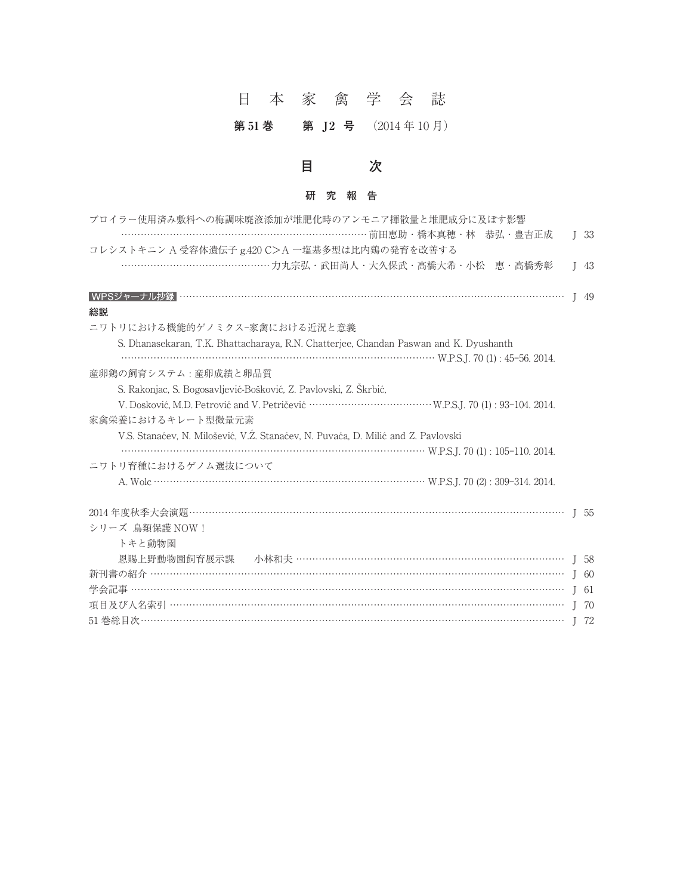# 日本家禽学会誌

第 51 巻 第 J2 号 (2014年10月)

### **目 次**

#### **研究報告**

| ブロイラー使用済み敷料への梅調味廃液添加が堆肥化時のアンモニア揮散量と堆肥成分に及ぼす影響                                         |              |        |
|---------------------------------------------------------------------------------------|--------------|--------|
|                                                                                       |              | $I$ 33 |
| コレシストキニンA受容体遺伝子 g.420 C>A 一塩基多型は比内鶏の発育を改善する                                           |              |        |
|                                                                                       |              | $I$ 43 |
|                                                                                       | $\mathsf{I}$ | -49    |
| 総説                                                                                    |              |        |
| ニワトリにおける機能的ゲノミクス-家禽における近況と意義                                                          |              |        |
| S. Dhanasekaran, T.K. Bhattacharaya, R.N. Chatterjee, Chandan Paswan and K. Dyushanth |              |        |
|                                                                                       |              |        |
| 産卵鶏の飼育システム:産卵成績と卵品質                                                                   |              |        |
| S. Rakonjac, S. Bogosavljević-Bošković, Z. Pavlovski, Z. Skrbić,                      |              |        |
|                                                                                       |              |        |
| 家禽栄養におけるキレート型微量元素                                                                     |              |        |
| V.S. Stanaćev, N. Milošević, V.Z. Stanaćev, N. Puvaća, D. Milić and Z. Pavlovski      |              |        |
| $W.P.S.J. 70 (1): 105-110. 2014.$                                                     |              |        |
| ニワトリ育種におけるゲノム選抜について                                                                   |              |        |
|                                                                                       |              |        |
|                                                                                       |              |        |
| シリーズ 鳥類保護 NOW!                                                                        |              |        |
| トキと動物園                                                                                |              |        |
| 恩賜上野動物園飼育展示課 小林和夫 ………………………………………………………………………… J 58                                   |              |        |
|                                                                                       |              |        |
|                                                                                       | $\mathsf{I}$ | -61    |
|                                                                                       |              | J 70   |
|                                                                                       |              | I 72   |
|                                                                                       |              |        |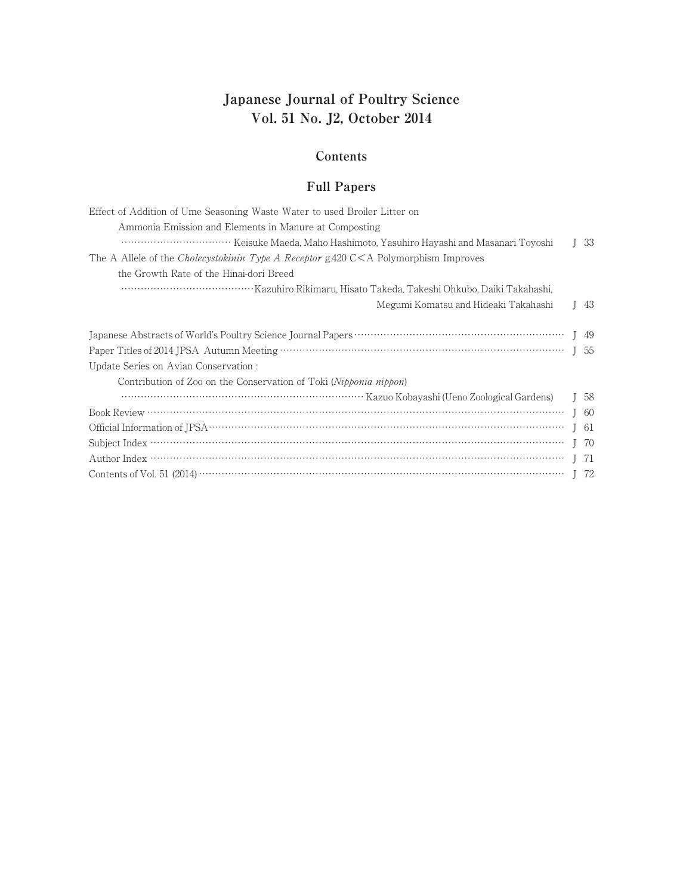### **Japanese Journal of Poultry Science Vol. 51 No. J2, October 2014**

#### **Contents**

#### **Full Papers**

| Effect of Addition of Ume Seasoning Waste Water to used Broiler Litter on                      |                                    |
|------------------------------------------------------------------------------------------------|------------------------------------|
| Ammonia Emission and Elements in Manure at Composting                                          |                                    |
|                                                                                                | $\begin{bmatrix} 33 \end{bmatrix}$ |
| The A Allele of the <i>Cholecystokinin Type A Receptor</i> g.420 $C < A$ Polymorphism Improves |                                    |
| the Growth Rate of the Hinai-dori Breed                                                        |                                    |
|                                                                                                |                                    |
| Megumi Komatsu and Hideaki Takahashi                                                           | $I$ 43                             |
|                                                                                                |                                    |
|                                                                                                |                                    |
| Update Series on Avian Conservation :                                                          |                                    |
| Contribution of Zoo on the Conservation of Toki (Nipponia nippon)                              |                                    |
|                                                                                                | I <sub>58</sub>                    |
|                                                                                                |                                    |
|                                                                                                | I 61                               |
|                                                                                                | I 70                               |
|                                                                                                | - 71                               |
|                                                                                                |                                    |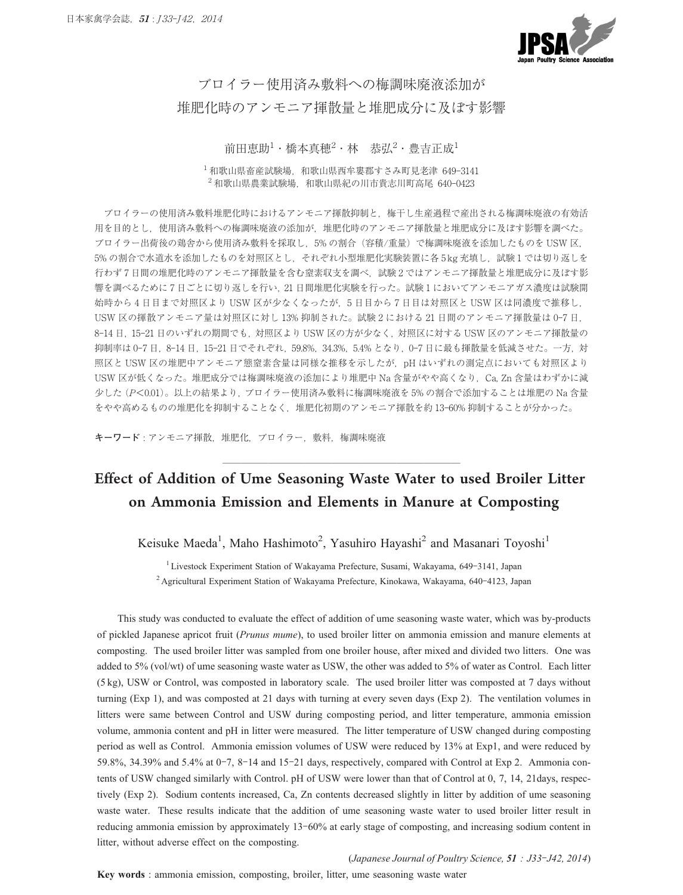

## ブロイラー使用済み敷料への梅調味廃液添加が 堆肥化時のアンモニア揮散量と堆肥成分に及ぼす影響

#### 前田恵助<sup>1</sup>・橋本真穂<sup>2</sup>・林 恭弘<sup>2</sup>・豊吉正成<sup>1</sup>

1 和歌山県畜産試験場,和歌山県西牟婁郡すさみ町見老津 649**-**3141 2 和歌山県農業試験場,和歌山県紀の川市貴志川町高尾 640**-**0423

ブロイラーの使用済み敷料堆肥化時におけるアンモニア揮散抑制と,梅干し生産過程で産出される梅調味廃液の有効活 用を目的とし,使用済み敷料への梅調味廃液の添加が,堆肥化時のアンモニア揮散量と堆肥成分に及ぼす影響を調べた。 ブロイラー出荷後の鶏舎から使用済み敷料を採取し,5% の割合(容積/重量)で梅調味廃液を添加したものを USW 区, 5% の割合で水道水を添加したものを対照区とし、それぞれ小型堆肥化実験装置に各 5 kg 充填し,試験 1 では切り返しを 行わず 7 日間の堆肥化時のアンモニア揮散量を含む窒素収支を調べ,試験 2 ではアンモニア揮散量と堆肥成分に及ぼす影 響を調べるために 7 日ごとに切り返しを行い,21 日間堆肥化実験を行った。試験 1 においてアンモニアガス濃度は試験開 始時から 4 日目まで対照区より USW 区が少なくなったが,5 日目から 7 日目は対照区と USW 区は同濃度で推移し, USW 区の揮散アンモニア量は対照区に対し 13% 抑制された。試験 2 における 21 日間のアンモニア揮散量は 0**-**7 日, 8**-**14 日,15**-**21 日のいずれの期間でも,対照区より USW 区の方が少なく,対照区に対する USW 区のアンモニア揮散量の 抑制率は 0**-**7 日,8**-**14 日,15**-**21 日でそれぞれ,59.8%,34.3%,5.4% となり,0**-**7 日に最も揮散量を低減させた。一方,対 照区と USW 区の堆肥中アンモニア態窒素含量は同様な推移を示したが、pH はいずれの測定点においても対照区より USW 区が低くなった。堆肥成分では梅調味廃液の添加により堆肥中 Na 含量がやや高くなり,Ca, Zn 含量はわずかに減 少した(P**<**0.01)。以上の結果より,ブロイラー使用済み敷料に梅調味廃液を 5% の割合で添加することは堆肥の Na 含量 をやや高めるものの堆肥化を抑制することなく,堆肥化初期のアンモニア揮散を約 13**-**60% 抑制することが分かった。

**キーワード** : アンモニア揮散,堆肥化,ブロイラー,敷料,梅調味廃液

## Effect of Addition of Ume Seasoning Waste Water to used Broiler Litter on Ammonia Emission and Elements in Manure at Composting

**──────────────────────────**

Keisuke Maeda<sup>1</sup>, Maho Hashimoto<sup>2</sup>, Yasuhiro Hayashi<sup>2</sup> and Masanari Toyoshi<sup>1</sup>

1 Livestock Experiment Station of Wakayama Prefecture, Susami, Wakayama, 649**-**3141, Japan 2 Agricultural Experiment Station of Wakayama Prefecture, Kinokawa, Wakayama, 640**-**4123, Japan

This study was conducted to evaluate the effect of addition of ume seasoning waste water, which was by-products of pickled Japanese apricot fruit (*Prunus mume*), to used broiler litter on ammonia emission and manure elements at composting. The used broiler litter was sampled from one broiler house, after mixed and divided two litters. One was added to 5% (vol/wt) of ume seasoning waste water as USW, the other was added to 5% of water as Control. Each litter (5 kg), USWor Control, was composted in laboratory scale. The used broiler litter was composted at 7 days without turning (Exp 1), and was composted at 21 days with turning at every seven days (Exp 2). The ventilation volumes in litters were same between Control and USW during composting period, and litter temperature, ammonia emission volume, ammonia content and pH in litter were measured. The litter temperature of USWchanged during composting period as well as Control. Ammonia emission volumes of USW were reduced by 13% at Exp1, and were reduced by 59.8%, 34.39% and 5.4% at 0**-**7, 8**-**14 and 15**-**21 days, respectively, compared with Control at Exp 2. Ammonia contents of USW changed similarly with Control. pH of USW were lower than that of Control at 0, 7, 14, 21days, respectively (Exp 2). Sodium contents increased, Ca, Zn contents decreased slightly in litter by addition of ume seasoning waste water. These results indicate that the addition of ume seasoning waste water to used broiler litter result in reducing ammonia emission by approximately 13**-**60% at early stage of composting, and increasing sodium content in litter, without adverse effect on the composting.

(*Japanese Journal of Poultry Science, 51 : J33***-***J42, 2014*)

**Key words** : ammonia emission, composting, broiler, litter, ume seasoning waste water